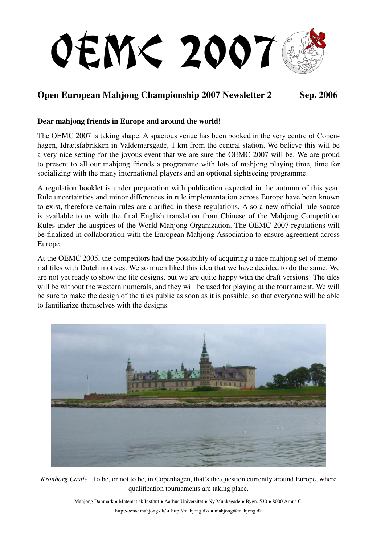

# Open European Mahjong Championship 2007 Newsletter 2 Sep. 2006

#### Dear mahjong friends in Europe and around the world!

The OEMC 2007 is taking shape. A spacious venue has been booked in the very centre of Copenhagen, Idrætsfabrikken in Valdemarsgade, 1 km from the central station. We believe this will be a very nice setting for the joyous event that we are sure the OEMC 2007 will be. We are proud to present to all our mahjong friends a programme with lots of mahjong playing time, time for socializing with the many international players and an optional sightseeing programme.

A regulation booklet is under preparation with publication expected in the autumn of this year. Rule uncertainties and minor differences in rule implementation across Europe have been known to exist, therefore certain rules are clarified in these regulations. Also a new official rule source is available to us with the final English translation from Chinese of the Mahjong Competition Rules under the auspices of the World Mahjong Organization. The OEMC 2007 regulations will be finalized in collaboration with the European Mahjong Association to ensure agreement across Europe.

At the OEMC 2005, the competitors had the possibility of acquiring a nice mahjong set of memorial tiles with Dutch motives. We so much liked this idea that we have decided to do the same. We are not yet ready to show the tile designs, but we are quite happy with the draft versions! The tiles will be without the western numerals, and they will be used for playing at the tournament. We will be sure to make the design of the tiles public as soon as it is possible, so that everyone will be able to familiarize themselves with the designs.



*Kronborg Castle.* To be, or not to be, in Copenhagen, that's the question currently around Europe, where qualification tournaments are taking place.

> Mahjong Danmark • Matematisk Institut • Aarhus Universitet • Ny Munkegade • Bygn. 530 • 8000 Århus C http://oemc.mahjong.dk/ • http://mahjong.dk/ • mahjong@mahjong.dk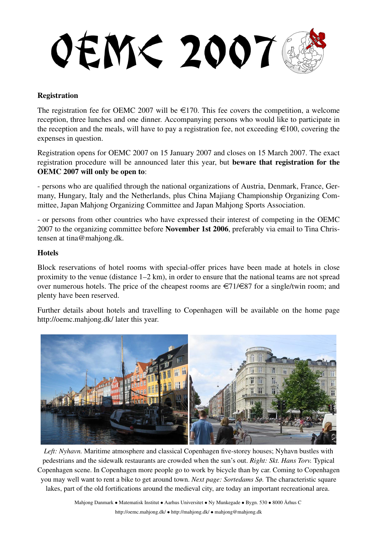**OEM< 2007** 

## **Registration**

The registration fee for OEMC 2007 will be  $\epsilon$ 170. This fee covers the competition, a welcome reception, three lunches and one dinner. Accompanying persons who would like to participate in the reception and the meals, will have to pay a registration fee, not exceeding  $\epsilon$ 100, covering the expenses in question.

Registration opens for OEMC 2007 on 15 January 2007 and closes on 15 March 2007. The exact registration procedure will be announced later this year, but beware that registration for the OEMC 2007 will only be open to:

- persons who are qualified through the national organizations of Austria, Denmark, France, Germany, Hungary, Italy and the Netherlands, plus China Majiang Championship Organizing Committee, Japan Mahjong Organizing Committee and Japan Mahjong Sports Association.

- or persons from other countries who have expressed their interest of competing in the OEMC 2007 to the organizing committee before November 1st 2006, preferably via email to Tina Christensen at tina@mahjong.dk.

#### Hotels

Block reservations of hotel rooms with special-offer prices have been made at hotels in close proximity to the venue (distance 1–2 km), in order to ensure that the national teams are not spread over numerous hotels. The price of the cheapest rooms are  $\epsilon$ 71/ $\epsilon$ 87 for a single/twin room; and plenty have been reserved.

Further details about hotels and travelling to Copenhagen will be available on the home page http://oemc.mahjong.dk/ later this year.



*Left: Nyhavn.* Maritime atmosphere and classical Copenhagen five-storey houses; Nyhavn bustles with pedestrians and the sidewalk restaurants are crowded when the sun's out. *Right: Skt. Hans Torv.* Typical Copenhagen scene. In Copenhagen more people go to work by bicycle than by car. Coming to Copenhagen you may well want to rent a bike to get around town. *Next page: Sortedams Sø.* The characteristic square lakes, part of the old fortifications around the medieval city, are today an important recreational area.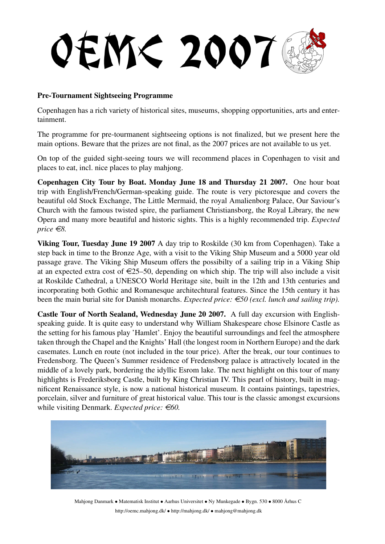**OEM< 2007** 

## Pre-Tournament Sightseeing Programme

Copenhagen has a rich variety of historical sites, museums, shopping opportunities, arts and entertainment.

The programme for pre-tourmanent sightseeing options is not finalized, but we present here the main options. Beware that the prizes are not final, as the 2007 prices are not available to us yet.

On top of the guided sight-seeing tours we will recommend places in Copenhagen to visit and places to eat, incl. nice places to play mahjong.

Copenhagen City Tour by Boat. Monday June 18 and Thursday 21 2007. One hour boat trip with English/French/German-speaking guide. The route is very pictoresque and covers the beautiful old Stock Exchange, The Little Mermaid, the royal Amalienborg Palace, Our Saviour's Church with the famous twisted spire, the parliament Christiansborg, the Royal Library, the new Opera and many more beautiful and historic sights. This is a highly recommended trip. *Expected price*  $\in$ *8.* 

Viking Tour, Tuesday June 19 2007 A day trip to Roskilde (30 km from Copenhagen). Take a step back in time to the Bronze Age, with a visit to the Viking Ship Museum and a 5000 year old passage grave. The Viking Ship Museum offers the possibilty of a sailing trip in a Viking Ship at an expected extra cost of  $\epsilon$ 25–50, depending on which ship. The trip will also include a visit at Roskilde Cathedral, a UNESCO World Heritage site, built in the 12th and 13th centuries and incorporating both Gothic and Romanesque architechtural features. Since the 15th century it has been the main burial site for Danish monarchs. *Expected price:*  $\epsilon$  *E50 (excl. lunch and sailing trip).* 

Castle Tour of North Sealand, Wednesday June 20 2007. A full day excursion with Englishspeaking guide. It is quite easy to understand why William Shakespeare chose Elsinore Castle as the setting for his famous play 'Hamlet'. Enjoy the beautiful surroundings and feel the atmosphere taken through the Chapel and the Knights' Hall (the longest room in Northern Europe) and the dark casemates. Lunch en route (not included in the tour price). After the break, our tour continues to Fredensborg. The Queen's Summer residence of Fredensborg palace is attractively located in the middle of a lovely park, bordering the idyllic Esrom lake. The next highlight on this tour of many highlights is Frederiksborg Castle, built by King Christian IV. This pearl of history, built in magnificent Renaissance style, is now a national historical museum. It contains paintings, tapestries, porcelain, silver and furniture of great historical value. This tour is the classic amongst excursions while visiting Denmark. *Expected price:* €60.



Mahjong Danmark • Matematisk Institut • Aarhus Universitet • Ny Munkegade • Bygn. 530 • 8000 Århus C http://oemc.mahjong.dk/ • http://mahjong.dk/ • mahjong@mahjong.dk